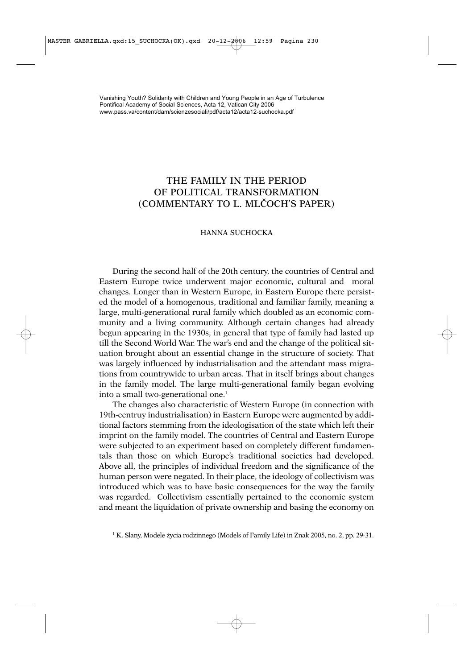## THE FAMILY IN THE PERIOD OF POLITICAL TRANSFORMATION (COMMENTARY TO L. MLČOCH'S PAPER)

## HANNA SUCHOCKA

During the second half of the 20th century, the countries of Central and Eastern Europe twice underwent major economic, cultural and moral changes. Longer than in Western Europe, in Eastern Europe there persisted the model of a homogenous, traditional and familiar family, meaning a large, multi-generational rural family which doubled as an economic community and a living community. Although certain changes had already begun appearing in the 1930s, in general that type of family had lasted up till the Second World War. The war's end and the change of the political situation brought about an essential change in the structure of society. That was largely influenced by industrialisation and the attendant mass migrations from countrywide to urban areas. That in itself brings about changes in the family model. The large multi-generational family began evolving into a small two-generational one.<sup>1</sup>

The changes also characteristic of Western Europe (in connection with 19th-centruy industrialisation) in Eastern Europe were augmented by additional factors stemming from the ideologisation of the state which left their imprint on the family model. The countries of Central and Eastern Europe were subjected to an experiment based on completely different fundamentals than those on which Europe's traditional societies had developed. Above all, the principles of individual freedom and the significance of the human person were negated. In their place, the ideology of collectivism was introduced which was to have basic consequences for the way the family was regarded. Collectivism essentially pertained to the economic system and meant the liquidation of private ownership and basing the economy on

<sup>&</sup>lt;sup>1</sup> K. Slany, Modele życia rodzinnego (Models of Family Life) in Znak 2005, no. 2, pp. 29-31.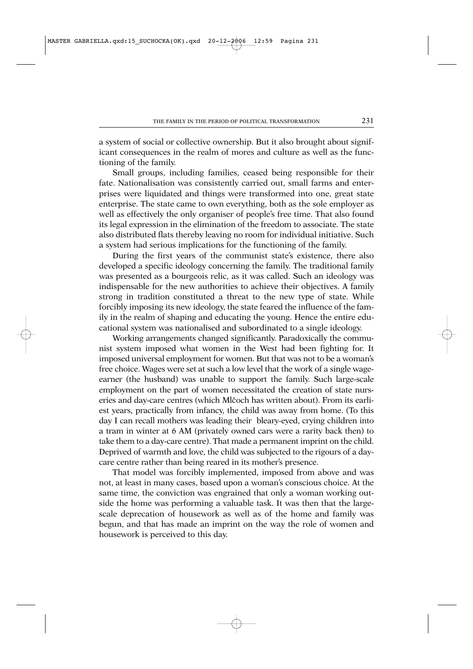a system of social or collective ownership. But it also brought about significant consequences in the realm of mores and culture as well as the functioning of the family.

Small groups, including families, ceased being responsible for their fate. Nationalisation was consistently carried out, small farms and enterprises were liquidated and things were transformed into one, great state enterprise. The state came to own everything, both as the sole employer as well as effectively the only organiser of people's free time. That also found its legal expression in the elimination of the freedom to associate. The state also distributed flats thereby leaving no room for individual initiative. Such a system had serious implications for the functioning of the family.

During the first years of the communist state's existence, there also developed a specific ideology concerning the family. The traditional family was presented as a bourgeois relic, as it was called. Such an ideology was indispensable for the new authorities to achieve their objectives. A family strong in tradition constituted a threat to the new type of state. While forcibly imposing its new ideology, the state feared the influence of the family in the realm of shaping and educating the young. Hence the entire educational system was nationalised and subordinated to a single ideology.

Working arrangements changed significantly. Paradoxically the communist system imposed what women in the West had been fighting for. It imposed universal employment for women. But that was not to be a woman's free choice. Wages were set at such a low level that the work of a single wageearner (the husband) was unable to support the family. Such large-scale employment on the part of women necessitated the creation of state nurseries and day-care centres (which Mlčoch has written about). From its earliest years, practically from infancy, the child was away from home. (To this day I can recall mothers was leading their bleary-eyed, crying children into a tram in winter at 6 AM (privately owned cars were a rarity back then) to take them to a day-care centre). That made a permanent imprint on the child. Deprived of warmth and love, the child was subjected to the rigours of a daycare centre rather than being reared in its mother's presence.

That model was forcibly implemented, imposed from above and was not, at least in many cases, based upon a woman's conscious choice. At the same time, the conviction was engrained that only a woman working outside the home was performing a valuable task. It was then that the largescale deprecation of housework as well as of the home and family was begun, and that has made an imprint on the way the role of women and housework is perceived to this day.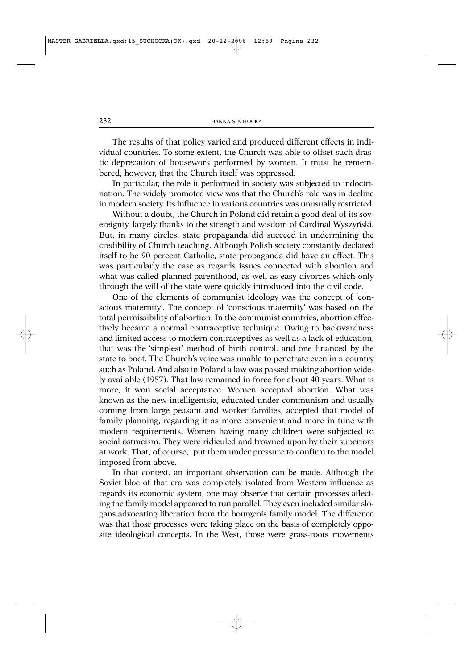The results of that policy varied and produced different effects in individual countries. To some extent, the Church was able to offset such drastic deprecation of housework performed by women. It must be remembered, however, that the Church itself was oppressed.

In particular, the role it performed in society was subjected to indoctrination. The widely promoted view was that the Church's role was in decline in modern society. Its influence in various countries was unusually restricted.

Without a doubt, the Church in Poland did retain a good deal of its sovereignty, largely thanks to the strength and wisdom of Cardinal Wyszyński. But, in many circles, state propaganda did succeed in undermining the credibility of Church teaching. Although Polish society constantly declared itself to be 90 percent Catholic, state propaganda did have an effect. This was particularly the case as regards issues connected with abortion and what was called planned parenthood, as well as easy divorces which only through the will of the state were quickly introduced into the civil code.

One of the elements of communist ideology was the concept of 'conscious maternity'. The concept of 'conscious maternity' was based on the total permissibility of abortion. In the communist countries, abortion effectively became a normal contraceptive technique. Owing to backwardness and limited access to modern contraceptives as well as a lack of education, that was the 'simplest' method of birth control, and one financed by the state to boot. The Church's voice was unable to penetrate even in a country such as Poland. And also in Poland a law was passed making abortion widely available (1957). That law remained in force for about 40 years. What is more, it won social acceptance. Women accepted abortion. What was known as the new intelligentsia, educated under communism and usually coming from large peasant and worker families, accepted that model of family planning, regarding it as more convenient and more in tune with modern requirements. Women having many children were subjected to social ostracism. They were ridiculed and frowned upon by their superiors at work. That, of course, put them under pressure to confirm to the model imposed from above.

In that context, an important observation can be made. Although the Soviet bloc of that era was completely isolated from Western influence as regards its economic system, one may observe that certain processes affecting the family model appeared to run parallel. They even included similar slogans advocating liberation from the bourgeois family model. The difference was that those processes were taking place on the basis of completely opposite ideological concepts. In the West, those were grass-roots movements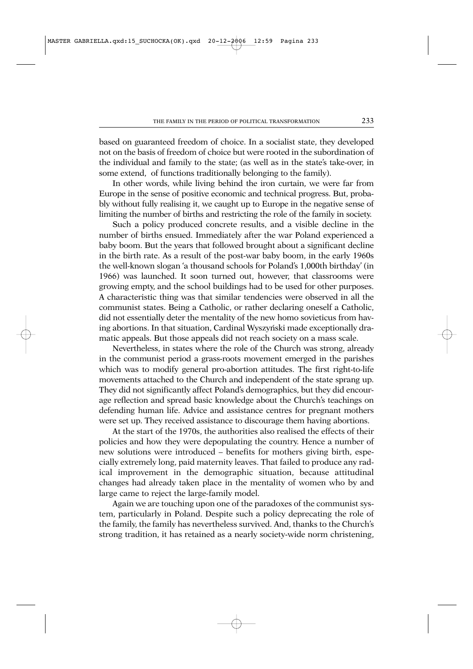based on guaranteed freedom of choice. In a socialist state, they developed not on the basis of freedom of choice but were rooted in the subordination of the individual and family to the state; (as well as in the state's take-over, in some extend, of functions traditionally belonging to the family).

In other words, while living behind the iron curtain, we were far from Europe in the sense of positive economic and technical progress. But, probably without fully realising it, we caught up to Europe in the negative sense of limiting the number of births and restricting the role of the family in society.

Such a policy produced concrete results, and a visible decline in the number of births ensued. Immediately after the war Poland experienced a baby boom. But the years that followed brought about a significant decline in the birth rate. As a result of the post-war baby boom, in the early 1960s the well-known slogan 'a thousand schools for Poland's 1,000th birthday' (in 1966) was launched. It soon turned out, however, that classrooms were growing empty, and the school buildings had to be used for other purposes. A characteristic thing was that similar tendencies were observed in all the communist states. Being a Catholic, or rather declaring oneself a Catholic, did not essentially deter the mentality of the new homo sovieticus from having abortions. In that situation, Cardinal Wyszyński made exceptionally dramatic appeals. But those appeals did not reach society on a mass scale.

Nevertheless, in states where the role of the Church was strong, already in the communist period a grass-roots movement emerged in the parishes which was to modify general pro-abortion attitudes. The first right-to-life movements attached to the Church and independent of the state sprang up. They did not significantly affect Poland's demographics, but they did encourage reflection and spread basic knowledge about the Church's teachings on defending human life. Advice and assistance centres for pregnant mothers were set up. They received assistance to discourage them having abortions.

At the start of the 1970s, the authorities also realised the effects of their policies and how they were depopulating the country. Hence a number of new solutions were introduced – benefits for mothers giving birth, especially extremely long, paid maternity leaves. That failed to produce any radical improvement in the demographic situation, because attitudinal changes had already taken place in the mentality of women who by and large came to reject the large-family model.

Again we are touching upon one of the paradoxes of the communist system, particularly in Poland. Despite such a policy deprecating the role of the family, the family has nevertheless survived. And, thanks to the Church's strong tradition, it has retained as a nearly society-wide norm christening,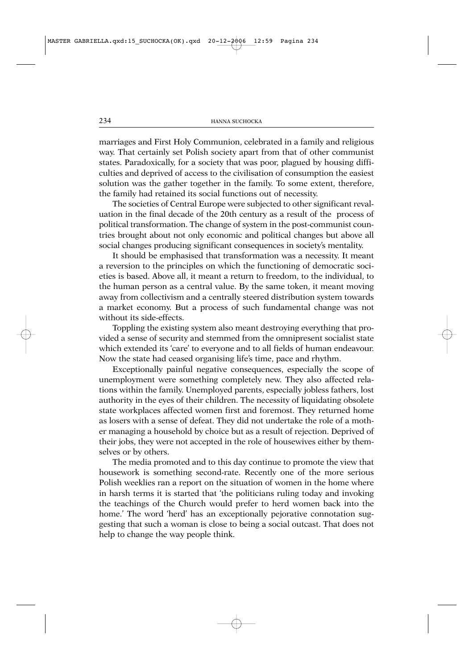marriages and First Holy Communion, celebrated in a family and religious way. That certainly set Polish society apart from that of other communist states. Paradoxically, for a society that was poor, plagued by housing difficulties and deprived of access to the civilisation of consumption the easiest solution was the gather together in the family. To some extent, therefore, the family had retained its social functions out of necessity.

The societies of Central Europe were subjected to other significant revaluation in the final decade of the 20th century as a result of the process of political transformation. The change of system in the post-communist countries brought about not only economic and political changes but above all social changes producing significant consequences in society's mentality.

It should be emphasised that transformation was a necessity. It meant a reversion to the principles on which the functioning of democratic societies is based. Above all, it meant a return to freedom, to the individual, to the human person as a central value. By the same token, it meant moving away from collectivism and a centrally steered distribution system towards a market economy. But a process of such fundamental change was not without its side-effects.

Toppling the existing system also meant destroying everything that provided a sense of security and stemmed from the omnipresent socialist state which extended its 'care' to everyone and to all fields of human endeavour. Now the state had ceased organising life's time, pace and rhythm.

Exceptionally painful negative consequences, especially the scope of unemployment were something completely new. They also affected relations within the family. Unemployed parents, especially jobless fathers, lost authority in the eyes of their children. The necessity of liquidating obsolete state workplaces affected women first and foremost. They returned home as losers with a sense of defeat. They did not undertake the role of a mother managing a household by choice but as a result of rejection. Deprived of their jobs, they were not accepted in the role of housewives either by themselves or by others.

The media promoted and to this day continue to promote the view that housework is something second-rate. Recently one of the more serious Polish weeklies ran a report on the situation of women in the home where in harsh terms it is started that 'the politicians ruling today and invoking the teachings of the Church would prefer to herd women back into the home.' The word 'herd' has an exceptionally pejorative connotation suggesting that such a woman is close to being a social outcast. That does not help to change the way people think.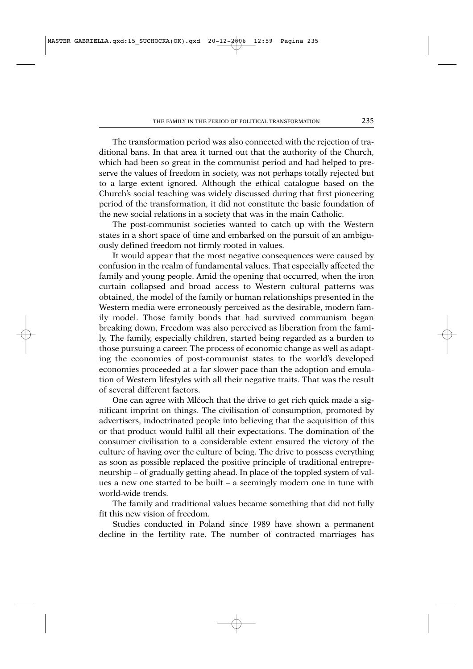The transformation period was also connected with the rejection of traditional bans. In that area it turned out that the authority of the Church, which had been so great in the communist period and had helped to preserve the values of freedom in society, was not perhaps totally rejected but to a large extent ignored. Although the ethical catalogue based on the Church's social teaching was widely discussed during that first pioneering period of the transformation, it did not constitute the basic foundation of the new social relations in a society that was in the main Catholic.

The post-communist societies wanted to catch up with the Western states in a short space of time and embarked on the pursuit of an ambiguously defined freedom not firmly rooted in values.

It would appear that the most negative consequences were caused by confusion in the realm of fundamental values. That especially affected the family and young people. Amid the opening that occurred, when the iron curtain collapsed and broad access to Western cultural patterns was obtained, the model of the family or human relationships presented in the Western media were erroneously perceived as the desirable, modern family model. Those family bonds that had survived communism began breaking down, Freedom was also perceived as liberation from the family. The family, especially children, started being regarded as a burden to those pursuing a career. The process of economic change as well as adapting the economies of post-communist states to the world's developed economies proceeded at a far slower pace than the adoption and emulation of Western lifestyles with all their negative traits. That was the result of several different factors.

One can agree with Mlčoch that the drive to get rich quick made a significant imprint on things. The civilisation of consumption, promoted by advertisers, indoctrinated people into believing that the acquisition of this or that product would fulfil all their expectations. The domination of the consumer civilisation to a considerable extent ensured the victory of the culture of having over the culture of being. The drive to possess everything as soon as possible replaced the positive principle of traditional entrepreneurship – of gradually getting ahead. In place of the toppled system of values a new one started to be built – a seemingly modern one in tune with world-wide trends.

The family and traditional values became something that did not fully fit this new vision of freedom.

Studies conducted in Poland since 1989 have shown a permanent decline in the fertility rate. The number of contracted marriages has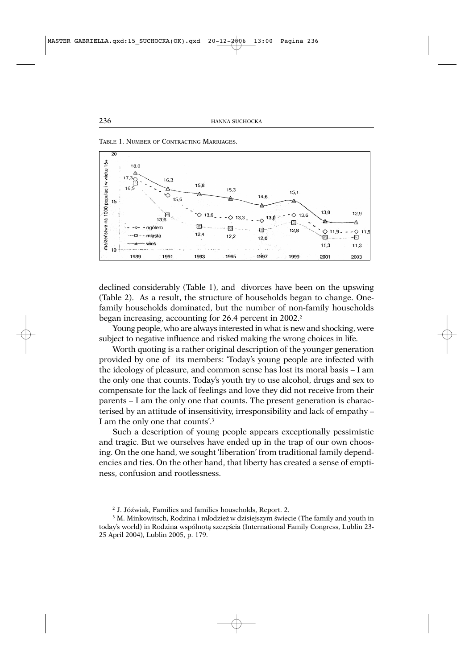

TABLE 1. NUMBER OF CONTRACTING MARRIAGES.

declined considerably (Table 1), and divorces have been on the upswing (Table 2). As a result, the structure of households began to change. Onefamily households dominated, but the number of non-family households began increasing, accounting for 26.4 percent in 2002.<sup>2</sup>

Young people, who are always interested in what is new and shocking, were subject to negative influence and risked making the wrong choices in life.

Worth quoting is a rather original description of the younger generation provided by one of its members: 'Today's young people are infected with the ideology of pleasure, and common sense has lost its moral basis – I am the only one that counts. Today's youth try to use alcohol, drugs and sex to compensate for the lack of feelings and love they did not receive from their parents – I am the only one that counts. The present generation is characterised by an attitude of insensitivity, irresponsibility and lack of empathy – I am the only one that counts'.3

Such a description of young people appears exceptionally pessimistic and tragic. But we ourselves have ended up in the trap of our own choosing. On the one hand, we sought 'liberation' from traditional family dependencies and ties. On the other hand, that liberty has created a sense of emptiness, confusion and rootlessness.

<sup>&</sup>lt;sup>2</sup> J. Jóźwiak, Families and families households, Report. 2.

<sup>&</sup>lt;sup>3</sup> M. Minkowitsch, Rodzina i m**/**odzież w dzisiejszym świecie (The family and youth in today's world) in Rodzina wspólnotą szczęścia (International Family Congress, Lublin 23-25 April 2004), Lublin 2005, p. 179.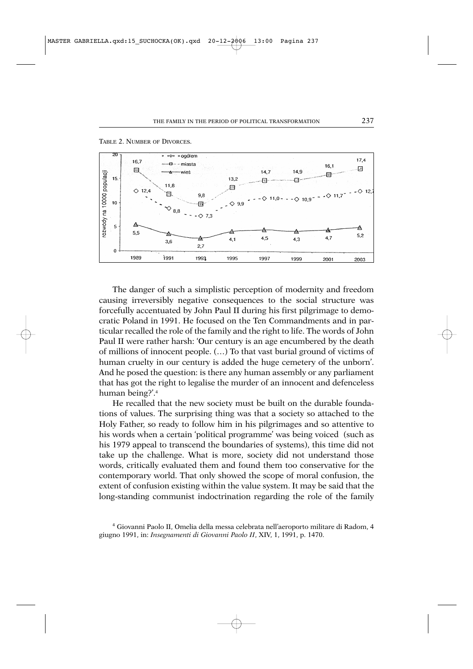

TABLE 2. NUMBER OF DIVORCES.

The danger of such a simplistic perception of modernity and freedom causing irreversibly negative consequences to the social structure was forcefully accentuated by John Paul II during his first pilgrimage to democratic Poland in 1991. He focused on the Ten Commandments and in particular recalled the role of the family and the right to life. The words of John Paul II were rather harsh: 'Our century is an age encumbered by the death of millions of innocent people. (…) To that vast burial ground of victims of human cruelty in our century is added the huge cemetery of the unborn'. And he posed the question: is there any human assembly or any parliament that has got the right to legalise the murder of an innocent and defenceless human being?'.4

He recalled that the new society must be built on the durable foundations of values. The surprising thing was that a society so attached to the Holy Father, so ready to follow him in his pilgrimages and so attentive to his words when a certain 'political programme' was being voiced (such as his 1979 appeal to transcend the boundaries of systems), this time did not take up the challenge. What is more, society did not understand those words, critically evaluated them and found them too conservative for the contemporary world. That only showed the scope of moral confusion, the extent of confusion existing within the value system. It may be said that the long-standing communist indoctrination regarding the role of the family

<sup>4</sup> Giovanni Paolo II, Omelia della messa celebrata nell'aeroporto militare di Radom, 4 giugno 1991, in: *Insegnamenti di Giovanni Paolo II*, XIV, 1, 1991, p. 1470.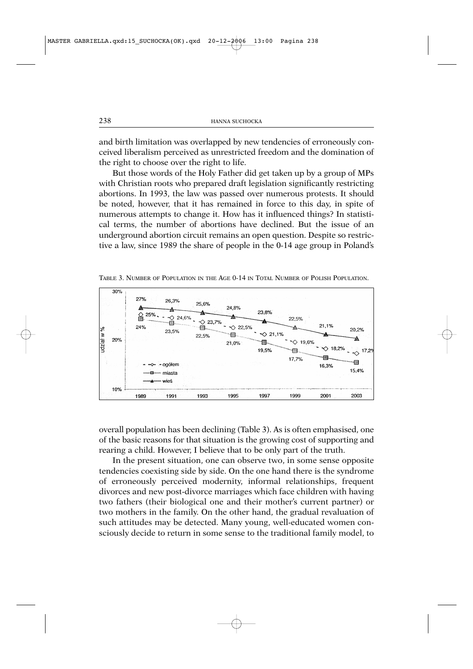and birth limitation was overlapped by new tendencies of erroneously conceived liberalism perceived as unrestricted freedom and the domination of the right to choose over the right to life.

But those words of the Holy Father did get taken up by a group of MPs with Christian roots who prepared draft legislation significantly restricting abortions. In 1993, the law was passed over numerous protests. It should be noted, however, that it has remained in force to this day, in spite of numerous attempts to change it. How has it influenced things? In statistical terms, the number of abortions have declined. But the issue of an underground abortion circuit remains an open question. Despite so restrictive a law, since 1989 the share of people in the 0-14 age group in Poland's



TABLE 3. NUMBER OF POPULATION IN THE AGE 0-14 IN TOTAL NUMBER OF POLISH POPULATION.

overall population has been declining (Table 3). As is often emphasised, one of the basic reasons for that situation is the growing cost of supporting and rearing a child. However, I believe that to be only part of the truth.

In the present situation, one can observe two, in some sense opposite tendencies coexisting side by side. On the one hand there is the syndrome of erroneously perceived modernity, informal relationships, frequent divorces and new post-divorce marriages which face children with having two fathers (their biological one and their mother's current partner) or two mothers in the family. On the other hand, the gradual revaluation of such attitudes may be detected. Many young, well-educated women consciously decide to return in some sense to the traditional family model, to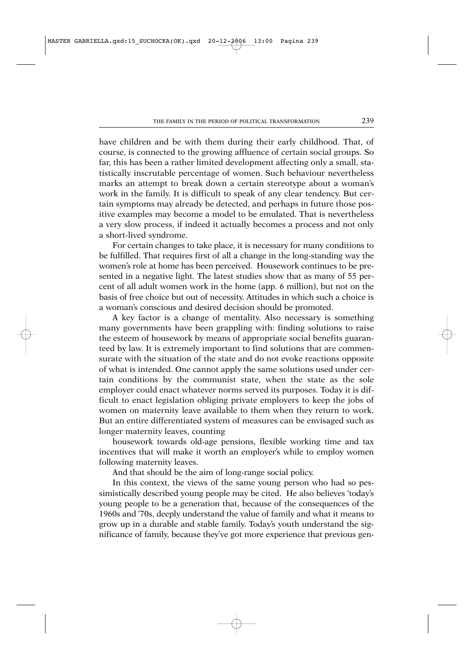have children and be with them during their early childhood. That, of course, is connected to the growing affluence of certain social groups. So far, this has been a rather limited development affecting only a small, statistically inscrutable percentage of women. Such behaviour nevertheless marks an attempt to break down a certain stereotype about a woman's work in the family. It is difficult to speak of any clear tendency. But certain symptoms may already be detected, and perhaps in future those positive examples may become a model to be emulated. That is nevertheless a very slow process, if indeed it actually becomes a process and not only a short-lived syndrome.

For certain changes to take place, it is necessary for many conditions to be fulfilled. That requires first of all a change in the long-standing way the women's role at home has been perceived. Housework continues to be presented in a negative light. The latest studies show that as many of 55 percent of all adult women work in the home (app. 6 million), but not on the basis of free choice but out of necessity. Attitudes in which such a choice is a woman's conscious and desired decision should be promoted.

A key factor is a change of mentality. Also necessary is something many governments have been grappling with: finding solutions to raise the esteem of housework by means of appropriate social benefits guaranteed by law. It is extremely important to find solutions that are commensurate with the situation of the state and do not evoke reactions opposite of what is intended. One cannot apply the same solutions used under certain conditions by the communist state, when the state as the sole employer could enact whatever norms served its purposes. Today it is difficult to enact legislation obliging private employers to keep the jobs of women on maternity leave available to them when they return to work. But an entire differentiated system of measures can be envisaged such as longer maternity leaves, counting

housework towards old-age pensions, flexible working time and tax incentives that will make it worth an employer's while to employ women following maternity leaves.

And that should be the aim of long-range social policy.

In this context, the views of the same young person who had so pessimistically described young people may be cited. He also believes 'today's young people to be a generation that, because of the consequences of the 1960s and '70s, deeply understand the value of family and what it means to grow up in a durable and stable family. Today's youth understand the significance of family, because they've got more experience that previous gen